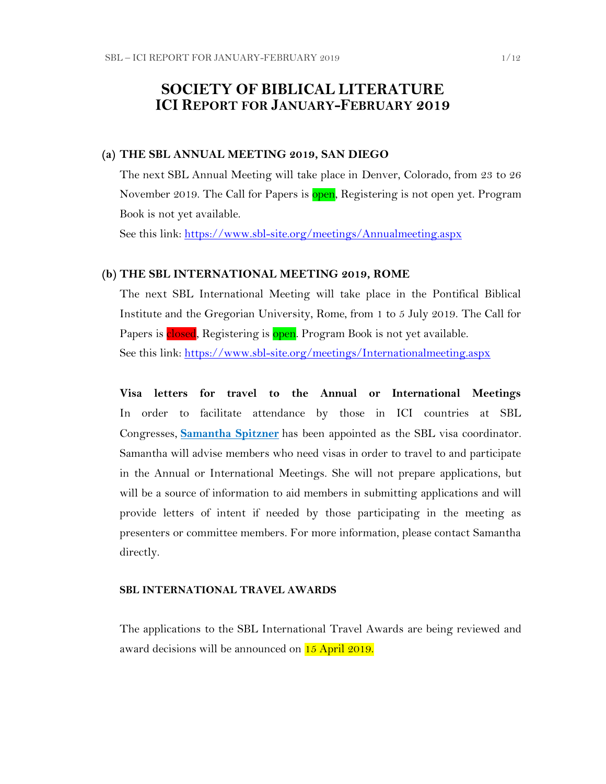## **SOCIETY OF BIBLICAL LITERATURE ICI REPORT FOR JANUARY-FEBRUARY 2019**

#### **(a) THE SBL ANNUAL MEETING 2019, SAN DIEGO**

The next SBL Annual Meeting will take place in Denver, Colorado, from 23 to 26 November 2019. The Call for Papers is open, Registering is not open yet. Program Book is not yet available.

See this link:<https://www.sbl-site.org/meetings/Annualmeeting.aspx>

#### **(b) THE SBL INTERNATIONAL MEETING 2019, ROME**

The next SBL International Meeting will take place in the Pontifical Biblical Institute and the Gregorian University, Rome, from 1 to 5 July 2019. The Call for Papers is closed, Registering is open. Program Book is not yet available. See this link:<https://www.sbl-site.org/meetings/Internationalmeeting.aspx>

**Visa letters for travel to the Annual or International Meetings** In order to facilitate attendance by those in ICI countries at SBL Congresses, **[Samantha Spitzner](mailto:samantha.spitzner@sbl-site.org)** has been appointed as the SBL visa coordinator. Samantha will advise members who need visas in order to travel to and participate in the Annual or International Meetings. She will not prepare applications, but will be a source of information to aid members in submitting applications and will provide letters of intent if needed by those participating in the meeting as presenters or committee members. For more information, please contact Samantha directly.

#### **SBL INTERNATIONAL TRAVEL AWARDS**

The applications to the SBL International Travel Awards are being reviewed and award decisions will be announced on 15 April 2019.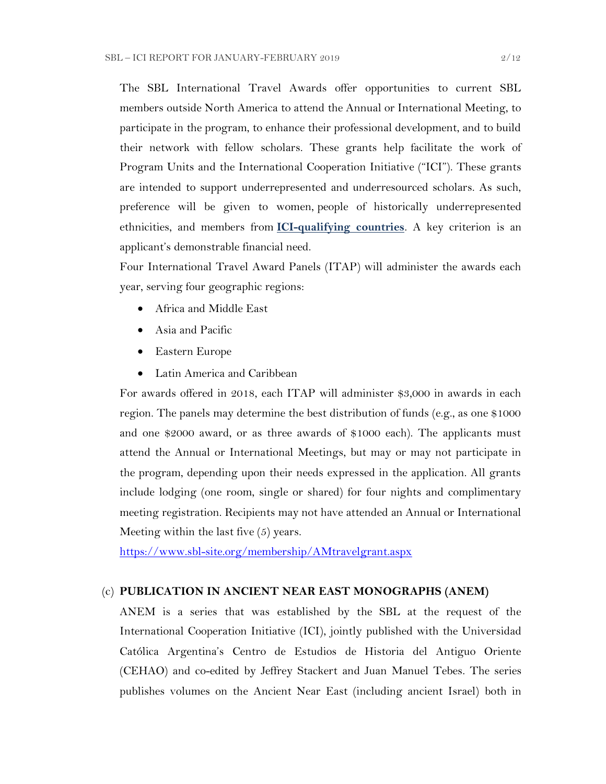The SBL International Travel Awards offer opportunities to current SBL members outside North America to attend the Annual or International Meeting, to participate in the program, to enhance their professional development, and to build their network with fellow scholars. These grants help facilitate the work of Program Units and the International Cooperation Initiative ("ICI"). These grants are intended to support underrepresented and underresourced scholars. As such, preference will be given to women, people of historically underrepresented ethnicities, and members from **[ICI-qualifying countries](https://www.sbl-site.org/assets/pdfs/ICIcountries.pdf)**. A key criterion is an applicant's demonstrable financial need.

Four International Travel Award Panels (ITAP) will administer the awards each year, serving four geographic regions:

- Africa and Middle East
- Asia and Pacific
- Eastern Europe
- Latin America and Caribbean

For awards offered in 2018, each ITAP will administer \$3,000 in awards in each region. The panels may determine the best distribution of funds (e.g., as one \$1000 and one \$2000 award, or as three awards of \$1000 each). The applicants must attend the Annual or International Meetings, but may or may not participate in the program, depending upon their needs expressed in the application. All grants include lodging (one room, single or shared) for four nights and complimentary meeting registration. Recipients may not have attended an Annual or International Meeting within the last five (5) years.

<https://www.sbl-site.org/membership/AMtravelgrant.aspx>

#### (c) **PUBLICATION IN [ANCIENT NEAR EAST MONOGRAPHS](http://www.sbl-site.org/publications/Books_ANEmonographs.aspx) (ANEM)**

ANEM is a series that was established by the SBL at the request of the International Cooperation Initiative (ICI), jointly published with the Universidad Católica Argentina's Centro de Estudios de Historia del Antiguo Oriente (CEHAO) and co-edited by Jeffrey Stackert and Juan Manuel Tebes. The series publishes volumes on the Ancient Near East (including ancient Israel) both in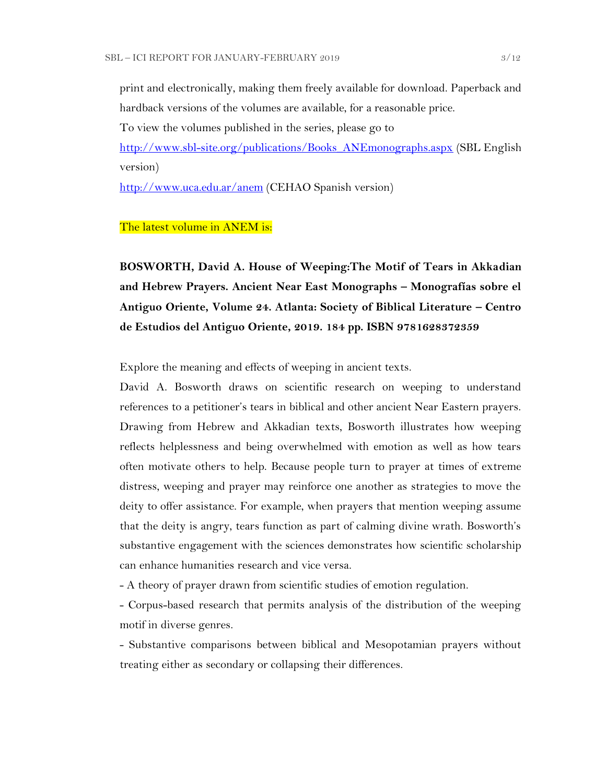print and electronically, making them freely available for download. Paperback and hardback versions of the volumes are available, for a reasonable price.

To view the volumes published in the series, please go to

[http://www.sbl-site.org/publications/Books\\_ANEmonographs.aspx](http://www.sbl-site.org/publications/Books_ANEmonographs.aspx) (SBL English version)

<http://www.uca.edu.ar/anem> (CEHAO Spanish version)

#### The latest volume in ANEM is:

**BOSWORTH, David A. House of Weeping:The Motif of Tears in Akkadian and Hebrew Prayers. Ancient Near East Monographs – Monografías sobre el Antiguo Oriente, Volume 24. Atlanta: Society of Biblical Literature – Centro de Estudios del Antiguo Oriente, 2019. 184 pp. ISBN 9781628372359** 

Explore the meaning and effects of weeping in ancient texts.

David A. Bosworth draws on scientific research on weeping to understand references to a petitioner's tears in biblical and other ancient Near Eastern prayers. Drawing from Hebrew and Akkadian texts, Bosworth illustrates how weeping reflects helplessness and being overwhelmed with emotion as well as how tears often motivate others to help. Because people turn to prayer at times of extreme distress, weeping and prayer may reinforce one another as strategies to move the deity to offer assistance. For example, when prayers that mention weeping assume that the deity is angry, tears function as part of calming divine wrath. Bosworth's substantive engagement with the sciences demonstrates how scientific scholarship can enhance humanities research and vice versa.

- A theory of prayer drawn from scientific studies of emotion regulation.

- Corpus-based research that permits analysis of the distribution of the weeping motif in diverse genres.

- Substantive comparisons between biblical and Mesopotamian prayers without treating either as secondary or collapsing their differences.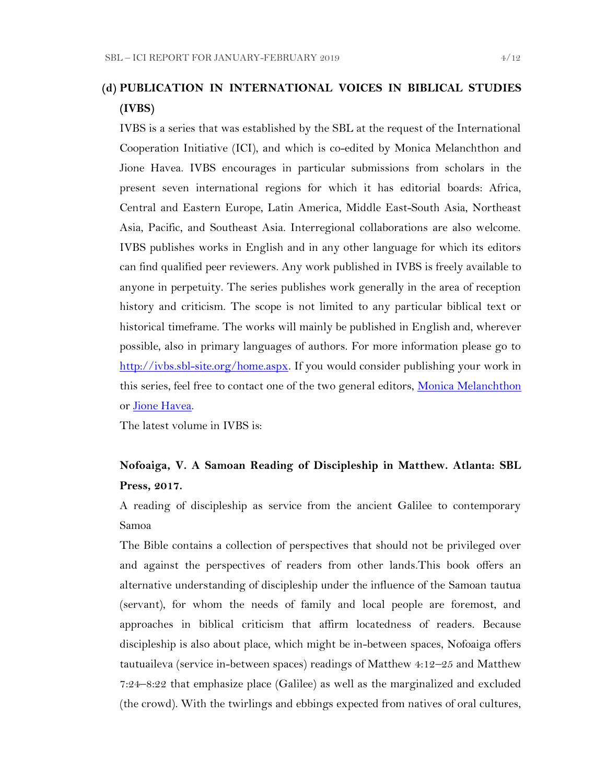## **(d) PUBLICATION IN INTERNATIONAL VOICES IN BIBLICAL STUDIES (IVBS)**

IVBS is a series that was established by the SBL at the request of the International Cooperation Initiative (ICI), and which is co-edited by Monica Melanchthon and Jione Havea. IVBS encourages in particular submissions from scholars in the present seven international regions for which it has editorial boards: Africa, Central and Eastern Europe, Latin America, Middle East-South Asia, Northeast Asia, Pacific, and Southeast Asia. Interregional collaborations are also welcome. IVBS publishes works in English and in any other language for which its editors can find qualified peer reviewers. Any work published in IVBS is freely available to anyone in perpetuity. The series publishes work generally in the area of reception history and criticism. The scope is not limited to any particular biblical text or historical timeframe. The works will mainly be published in English and, wherever possible, also in primary languages of authors. For more information please go to [http://ivbs.sbl-site.org/home.aspx.](http://ivbs.sbl-site.org/home.aspx) If you would consider publishing your work in this series, feel free to contact one of the two general editors, [Monica Melanchthon](mailto:ivbs2010@gmail.com) or [Jione Havea.](mailto:jioneh@nsw.uca.org.au)

The latest volume in IVBS is:

## **Nofoaiga, V. A Samoan Reading of Discipleship in Matthew. Atlanta: SBL Press, 2017.**

A reading of discipleship as service from the ancient Galilee to contemporary Samoa

The Bible contains a collection of perspectives that should not be privileged over and against the perspectives of readers from other lands.This book offers an alternative understanding of discipleship under the influence of the Samoan tautua (servant), for whom the needs of family and local people are foremost, and approaches in biblical criticism that affirm locatedness of readers. Because discipleship is also about place, which might be in-between spaces, Nofoaiga offers tautuaileva (service in-between spaces) readings of Matthew 4:12–25 and Matthew 7:24–8:22 that emphasize place (Galilee) as well as the marginalized and excluded (the crowd). With the twirlings and ebbings expected from natives of oral cultures,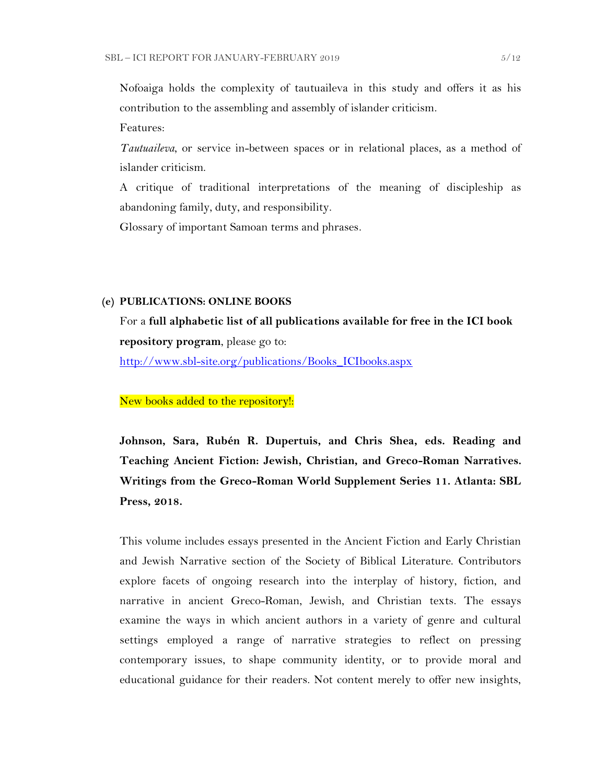Nofoaiga holds the complexity of tautuaileva in this study and offers it as his contribution to the assembling and assembly of islander criticism.

Features:

*Tautuaileva*, or service in-between spaces or in relational places, as a method of islander criticism.

A critique of traditional interpretations of the meaning of discipleship as abandoning family, duty, and responsibility.

Glossary of important Samoan terms and phrases.

#### **(e) PUBLICATIONS: ONLINE BOOKS**

For a **full alphabetic list of all publications available for free in the ICI book repository program**, please go to:

[http://www.sbl-site.org/publications/Books\\_ICIbooks.aspx](http://www.sbl-site.org/publications/Books_ICIbooks.aspx)

New books added to the repository!:

**Johnson, Sara, Rubén R. Dupertuis, and Chris Shea, eds. Reading and Teaching Ancient Fiction: Jewish, Christian, and Greco-Roman Narratives. Writings from the Greco-Roman World Supplement Series 11. Atlanta: SBL Press, 2018.**

This volume includes essays presented in the Ancient Fiction and Early Christian and Jewish Narrative section of the Society of Biblical Literature. Contributors explore facets of ongoing research into the interplay of history, fiction, and narrative in ancient Greco-Roman, Jewish, and Christian texts. The essays examine the ways in which ancient authors in a variety of genre and cultural settings employed a range of narrative strategies to reflect on pressing contemporary issues, to shape community identity, or to provide moral and educational guidance for their readers. Not content merely to offer new insights,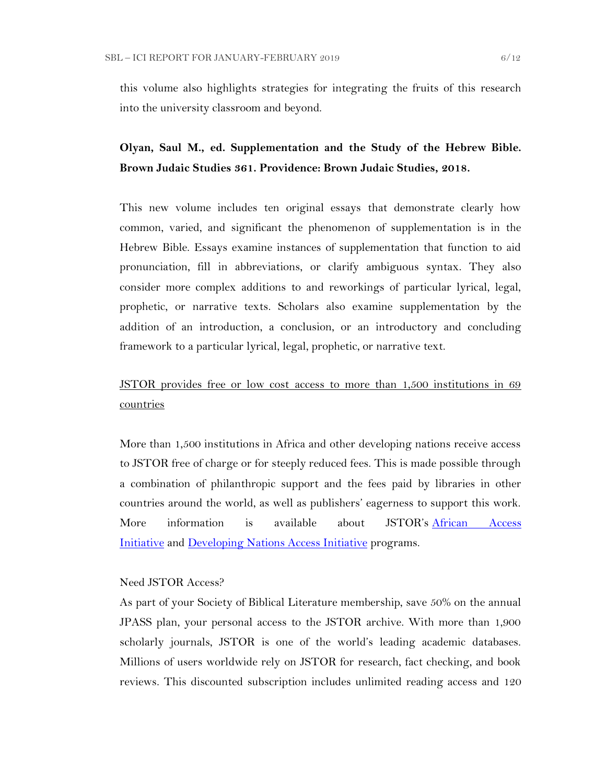this volume also highlights strategies for integrating the fruits of this research into the university classroom and beyond.

## **Olyan, Saul M., ed. Supplementation and the Study of the Hebrew Bible. Brown Judaic Studies 361. Providence: Brown Judaic Studies, 2018.**

This new volume includes ten original essays that demonstrate clearly how common, varied, and significant the phenomenon of supplementation is in the Hebrew Bible. Essays examine instances of supplementation that function to aid pronunciation, fill in abbreviations, or clarify ambiguous syntax. They also consider more complex additions to and reworkings of particular lyrical, legal, prophetic, or narrative texts. Scholars also examine supplementation by the addition of an introduction, a conclusion, or an introductory and concluding framework to a particular lyrical, legal, prophetic, or narrative text.

## JSTOR provides free or low cost access to more than 1,500 institutions in 69 countries

More than 1,500 institutions in Africa and other developing nations receive access to JSTOR free of charge or for steeply reduced fees. This is made possible through a combination of philanthropic support and the fees paid by libraries in other countries around the world, as well as publishers' eagerness to support this work. More information is available about JSTOR's [African Access](http://about.jstor.org/libraries/african-access-initiative)  [Initiative](http://about.jstor.org/libraries/african-access-initiative) and [Developing Nations Access Initiative](http://about.jstor.org/libraries/developing-nations-access-initiative) programs.

#### Need JSTOR Access?

As part of your Society of Biblical Literature membership, save 50% on the annual JPASS plan, your personal access to the JSTOR archive. With more than 1,900 scholarly journals, JSTOR is one of the world's leading academic databases. Millions of users worldwide rely on JSTOR for research, fact checking, and book reviews. This discounted subscription includes unlimited reading access and 120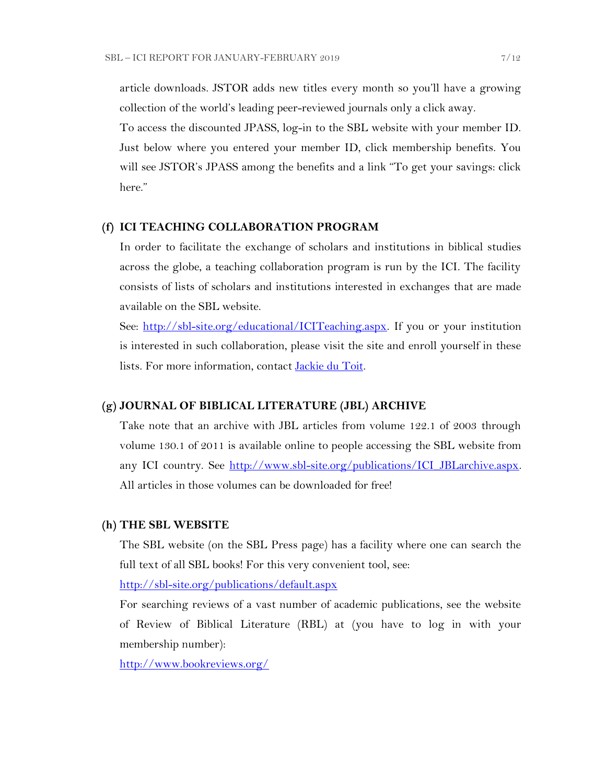article downloads. JSTOR adds new titles every month so you'll have a growing collection of the world's leading peer-reviewed journals only a click away.

To access the discounted JPASS, log-in to the SBL website with your member ID. Just below where you entered your member ID, click membership benefits. You will see JSTOR's JPASS among the benefits and a link "To get your savings: click here."

#### **(f) ICI TEACHING COLLABORATION PROGRAM**

In order to facilitate the exchange of scholars and institutions in biblical studies across the globe, a teaching collaboration program is run by the ICI. The facility consists of lists of scholars and institutions interested in exchanges that are made available on the SBL website.

See: [http://sbl-site.org/educational/ICITeaching.aspx.](http://sbl-site.org/educational/ICITeaching.aspx) If you or your institution is interested in such collaboration, please visit the site and enroll yourself in these lists. For more information, contact [Jackie du Toit.](mailto:dutoitjs@ufs.ac.za)

#### **(g) JOURNAL OF BIBLICAL LITERATURE (JBL) ARCHIVE**

Take note that an archive with JBL articles from volume 122.1 of 2003 through volume 130.1 of 2011 is available online to people accessing the SBL website from any ICI country. See http://www.sbl-site.org/publications/ICI\_JBLarchive.aspx. All articles in those volumes can be downloaded for free!

#### **(h) THE SBL WEBSITE**

The SBL website (on the SBL Press page) has a facility where one can search the full text of all SBL books! For this very convenient tool, see:

<http://sbl-site.org/publications/default.aspx>

For searching reviews of a vast number of academic publications, see the website of Review of Biblical Literature (RBL) at (you have to log in with your membership number):

<http://www.bookreviews.org/>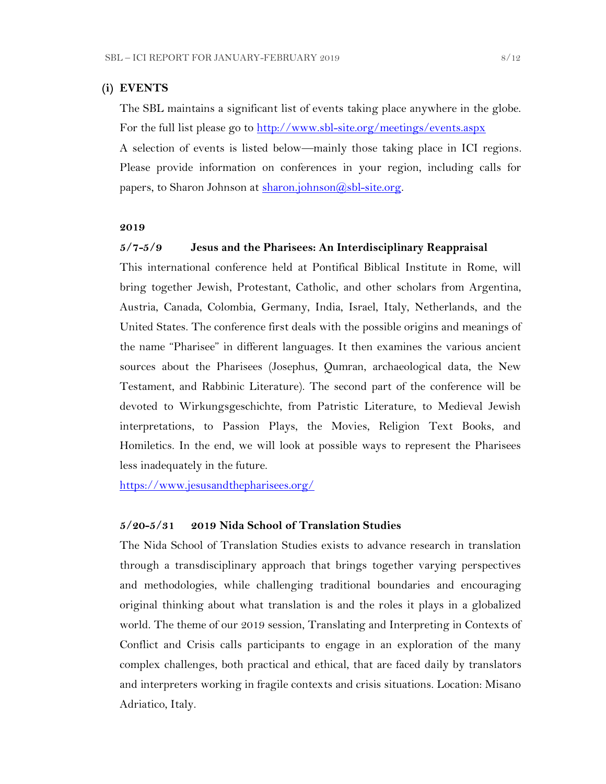#### **(i) EVENTS**

The SBL maintains a significant list of events taking place anywhere in the globe. For the full list please go to<http://www.sbl-site.org/meetings/events.aspx> A selection of events is listed below—mainly those taking place in ICI regions. Please provide information on conferences in your region, including calls for papers, to Sharon Johnson at [sharon.johnson@sbl-site.org.](mailto:sharon.johnson@sbl-site.org)

#### **2019**

#### **5/7-5/9 Jesus and the Pharisees: An Interdisciplinary Reappraisal**

This international conference held at Pontifical Biblical Institute in Rome, will bring together Jewish, Protestant, Catholic, and other scholars from Argentina, Austria, Canada, Colombia, Germany, India, Israel, Italy, Netherlands, and the United States. The conference first deals with the possible origins and meanings of the name "Pharisee" in different languages. It then examines the various ancient sources about the Pharisees (Josephus, Qumran, archaeological data, the New Testament, and Rabbinic Literature). The second part of the conference will be devoted to Wirkungsgeschichte, from Patristic Literature, to Medieval Jewish interpretations, to Passion Plays, the Movies, Religion Text Books, and Homiletics. In the end, we will look at possible ways to represent the Pharisees less inadequately in the future.

<https://www.jesusandthepharisees.org/>

#### **5/20-5/31 2019 Nida School of Translation Studies**

The Nida School of Translation Studies exists to advance research in translation through a transdisciplinary approach that brings together varying perspectives and methodologies, while challenging traditional boundaries and encouraging original thinking about what translation is and the roles it plays in a globalized world. The theme of our 2019 session, Translating and Interpreting in Contexts of Conflict and Crisis calls participants to engage in an exploration of the many complex challenges, both practical and ethical, that are faced daily by translators and interpreters working in fragile contexts and crisis situations. Location: Misano Adriatico, Italy.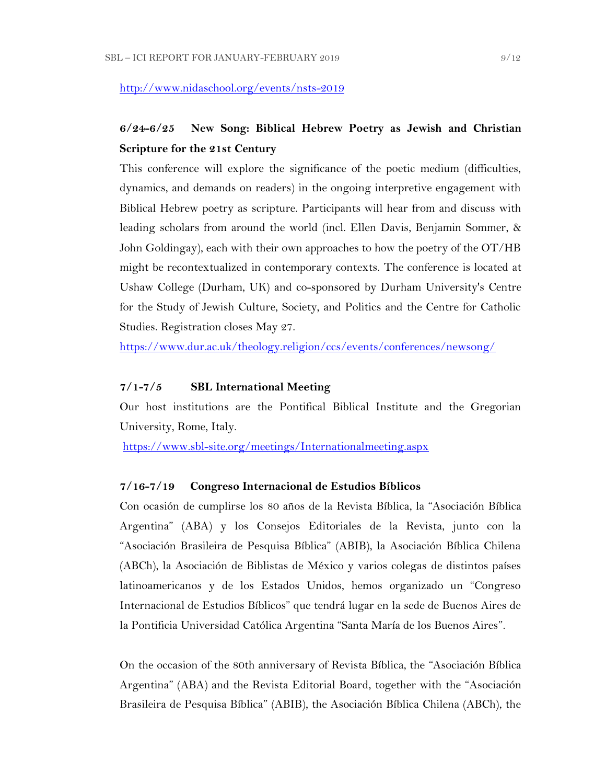<http://www.nidaschool.org/events/nsts-2019>

## **6/24-6/25 New Song: Biblical Hebrew Poetry as Jewish and Christian Scripture for the 21st Century**

This conference will explore the significance of the poetic medium (difficulties, dynamics, and demands on readers) in the ongoing interpretive engagement with Biblical Hebrew poetry as scripture. Participants will hear from and discuss with leading scholars from around the world (incl. Ellen Davis, Benjamin Sommer, & John Goldingay), each with their own approaches to how the poetry of the OT/HB might be recontextualized in contemporary contexts. The conference is located at Ushaw College (Durham, UK) and co-sponsored by Durham University's Centre for the Study of Jewish Culture, Society, and Politics and the Centre for Catholic Studies. Registration closes May 27.

<https://www.dur.ac.uk/theology.religion/ccs/events/conferences/newsong/>

#### **7/1-7/5 SBL International Meeting**

Our host institutions are the Pontifical Biblical Institute and the Gregorian University, Rome, Italy.

<https://www.sbl-site.org/meetings/Internationalmeeting.aspx>

#### **7/16-7/19 Congreso Internacional de Estudios Bíblicos**

Con ocasión de cumplirse los 80 años de la Revista Bíblica, la "Asociación Bíblica Argentina" (ABA) y los Consejos Editoriales de la Revista, junto con la "Asociación Brasileira de Pesquisa Bíblica" (ABIB), la Asociación Bíblica Chilena (ABCh), la Asociación de Biblistas de México y varios colegas de distintos países latinoamericanos y de los Estados Unidos, hemos organizado un "Congreso Internacional de Estudios Bíblicos" que tendrá lugar en la sede de Buenos Aires de la Pontificia Universidad Católica Argentina "Santa María de los Buenos Aires".

On the occasion of the 80th anniversary of Revista Bíblica, the "Asociación Bíblica Argentina" (ABA) and the Revista Editorial Board, together with the "Asociación Brasileira de Pesquisa Bíblica" (ABIB), the Asociación Bíblica Chilena (ABCh), the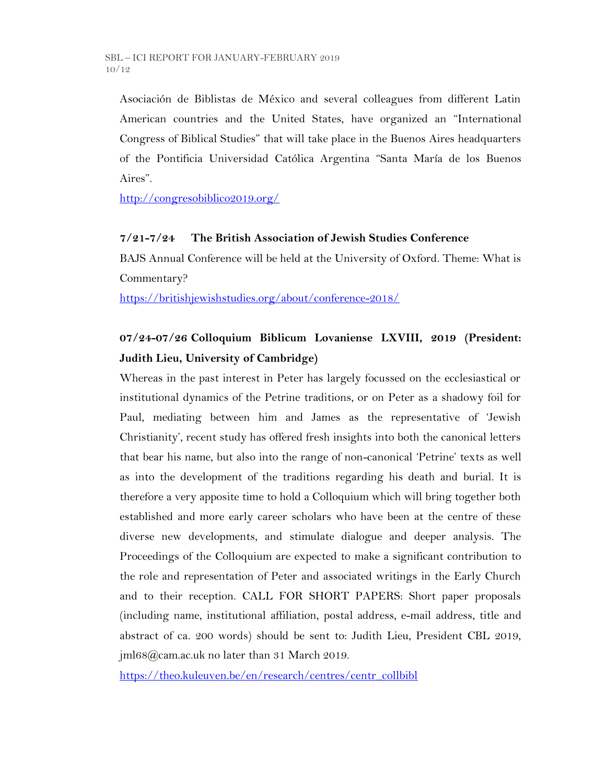Asociación de Biblistas de México and several colleagues from different Latin American countries and the United States, have organized an "International Congress of Biblical Studies" that will take place in the Buenos Aires headquarters of the Pontificia Universidad Católica Argentina "Santa María de los Buenos Aires".

<http://congresobiblico2019.org/>

### **7/21-7/24 The British Association of Jewish Studies Conference**

BAJS Annual Conference will be held at the University of Oxford. Theme: What is Commentary?

<https://britishjewishstudies.org/about/conference-2018/>

# **07/24-07/26 Colloquium Biblicum Lovaniense LXVIII, 2019 (President: Judith Lieu, University of Cambridge)**

Whereas in the past interest in Peter has largely focussed on the ecclesiastical or institutional dynamics of the Petrine traditions, or on Peter as a shadowy foil for Paul, mediating between him and James as the representative of 'Jewish Christianity', recent study has offered fresh insights into both the canonical letters that bear his name, but also into the range of non-canonical 'Petrine' texts as well as into the development of the traditions regarding his death and burial. It is therefore a very apposite time to hold a Colloquium which will bring together both established and more early career scholars who have been at the centre of these diverse new developments, and stimulate dialogue and deeper analysis. The Proceedings of the Colloquium are expected to make a significant contribution to the role and representation of Peter and associated writings in the Early Church and to their reception. CALL FOR SHORT PAPERS: Short paper proposals (including name, institutional affiliation, postal address, e-mail address, title and abstract of ca. 200 words) should be sent to: Judith Lieu, President CBL 2019, jml68@cam.ac.uk no later than 31 March 2019.

[https://theo.kuleuven.be/en/research/centres/centr\\_collbibl](https://theo.kuleuven.be/en/research/centres/centr_collbibl)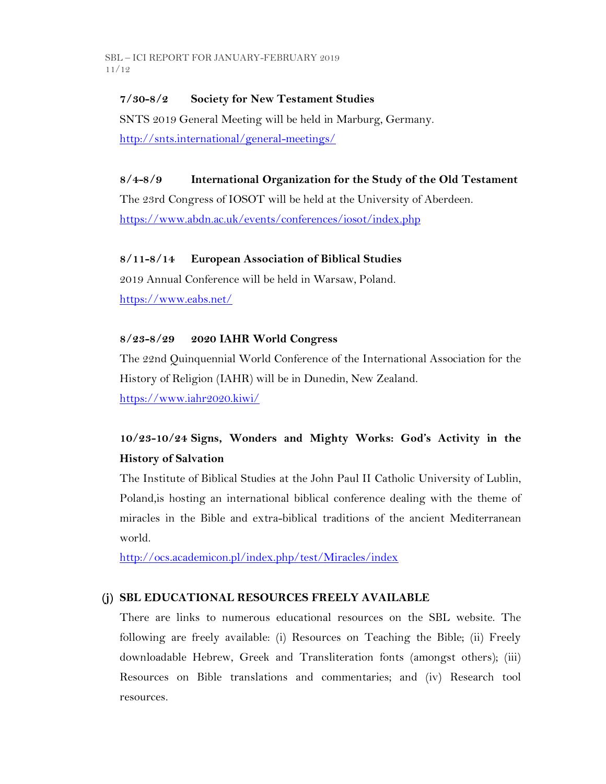### **7/30-8/2 Society for New Testament Studies**

SNTS 2019 General Meeting will be held in Marburg, Germany. <http://snts.international/general-meetings/>

### **8/4-8/9 International Organization for the Study of the Old Testament**

The 23rd Congress of IOSOT will be held at the University of Aberdeen. <https://www.abdn.ac.uk/events/conferences/iosot/index.php>

### **8/11-8/14 European Association of Biblical Studies**

2019 Annual Conference will be held in Warsaw, Poland. <https://www.eabs.net/>

### **8/23-8/29 2020 IAHR World Congress**

The 22nd Quinquennial World Conference of the International Association for the History of Religion (IAHR) will be in Dunedin, New Zealand. <https://www.iahr2020.kiwi/>

# **10/23-10/24 Signs, Wonders and Mighty Works: God's Activity in the History of Salvation**

The Institute of Biblical Studies at the John Paul II Catholic University of Lublin, Poland,is hosting an international biblical conference dealing with the theme of miracles in the Bible and extra-biblical traditions of the ancient Mediterranean world.

<http://ocs.academicon.pl/index.php/test/Miracles/index>

### **(j) SBL EDUCATIONAL RESOURCES FREELY AVAILABLE**

There are links to numerous educational resources on the SBL website. The following are freely available: (i) Resources on Teaching the Bible; (ii) Freely downloadable Hebrew, Greek and Transliteration fonts (amongst others); (iii) Resources on Bible translations and commentaries; and (iv) Research tool resources.